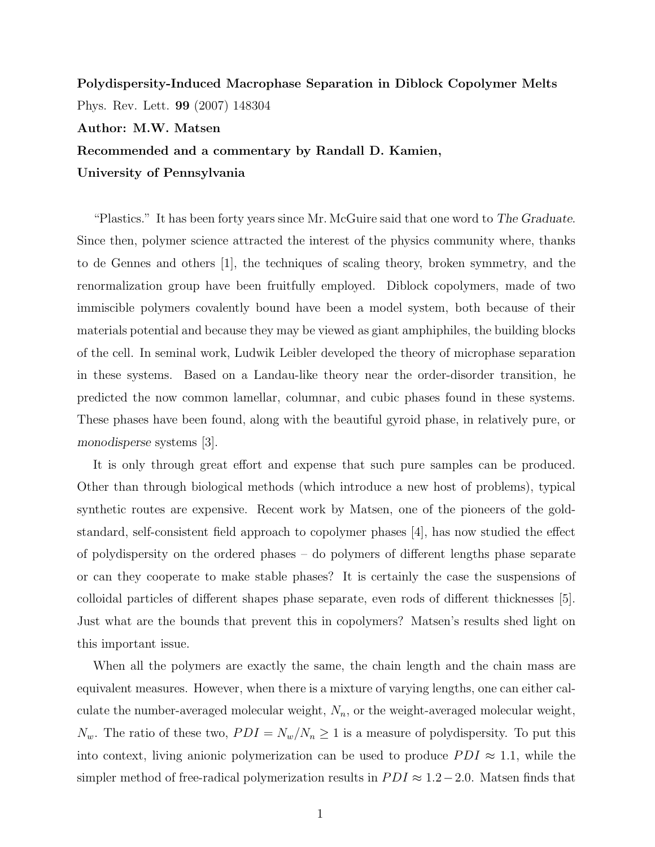## Polydispersity-Induced Macrophase Separation in Diblock Copolymer Melts Phys. Rev. Lett. 99 (2007) 148304

Author: M.W. Matsen

Recommended and a commentary by Randall D. Kamien,

University of Pennsylvania

"Plastics." It has been forty years since Mr. McGuire said that one word to The Graduate. Since then, polymer science attracted the interest of the physics community where, thanks to de Gennes and others [1], the techniques of scaling theory, broken symmetry, and the renormalization group have been fruitfully employed. Diblock copolymers, made of two immiscible polymers covalently bound have been a model system, both because of their materials potential and because they may be viewed as giant amphiphiles, the building blocks of the cell. In seminal work, Ludwik Leibler developed the theory of microphase separation in these systems. Based on a Landau-like theory near the order-disorder transition, he predicted the now common lamellar, columnar, and cubic phases found in these systems. These phases have been found, along with the beautiful gyroid phase, in relatively pure, or monodisperse systems [3].

It is only through great effort and expense that such pure samples can be produced. Other than through biological methods (which introduce a new host of problems), typical synthetic routes are expensive. Recent work by Matsen, one of the pioneers of the goldstandard, self-consistent field approach to copolymer phases [4], has now studied the effect of polydispersity on the ordered phases – do polymers of different lengths phase separate or can they cooperate to make stable phases? It is certainly the case the suspensions of colloidal particles of different shapes phase separate, even rods of different thicknesses [5]. Just what are the bounds that prevent this in copolymers? Matsen's results shed light on this important issue.

When all the polymers are exactly the same, the chain length and the chain mass are equivalent measures. However, when there is a mixture of varying lengths, one can either calculate the number-averaged molecular weight,  $N_n$ , or the weight-averaged molecular weight,  $N_w$ . The ratio of these two,  $PDI = N_w/N_n \ge 1$  is a measure of polydispersity. To put this into context, living anionic polymerization can be used to produce  $PDI \approx 1.1$ , while the simpler method of free-radical polymerization results in  $PDI \approx 1.2-2.0$ . Matsen finds that